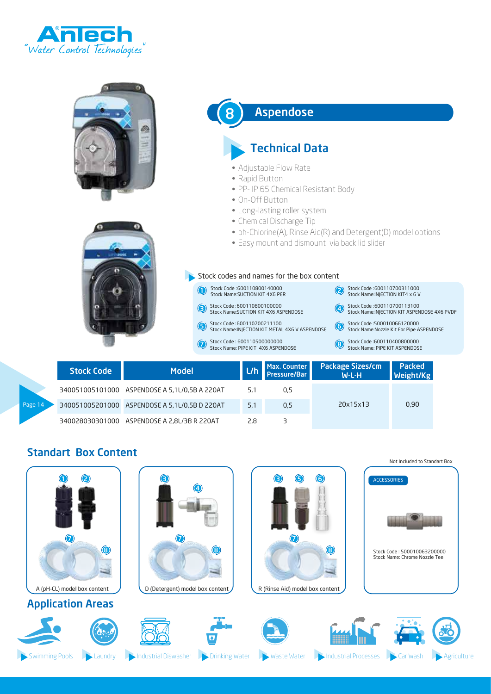



|         | <b>Stock Code</b> | <b>Model</b>                                  | L/h | Max. Counter<br><b>Pressure/Bar</b> | <b>Package Sizes/cm</b><br><b>W-L-H</b> | <b>Packed</b><br><b>Weight/Kg</b> |
|---------|-------------------|-----------------------------------------------|-----|-------------------------------------|-----------------------------------------|-----------------------------------|
|         |                   | 340051005101000 ASPENDOSE A 5,1L/0,5B A 220AT | 5.1 | 0.5                                 |                                         |                                   |
| Page 14 |                   | 340051005201000 ASPENDOSE A 5,1L/0,5B D 220AT | 5.1 | 0.5                                 | 20x15x13                                | 0,90                              |
|         |                   | 340028030301000 ASPENDOSE A 2.8L/3B R 220AT   | 2,8 |                                     |                                         |                                   |

#### Standart Box Content

|                             |                                        |                                                        | Not Included to Standart Box                                 |
|-----------------------------|----------------------------------------|--------------------------------------------------------|--------------------------------------------------------------|
| $\mathbf 0$                 | $\bullet$<br>$\bigcirc$                | $\bullet$<br>$\bullet$<br>$\boldsymbol{\Theta}$        | <b>ACCESSORIES</b>                                           |
| $\odot$<br>$\odot$          | $\bullet$<br>$\odot$                   | $\bigcirc$<br>$\odot$                                  | Stock Code: 500010063200000<br>Stock Name: Chrome Nozzle Tee |
| A (pH-CL) model box content | D (Detergent) model box content        | R (Rinse Aid) model box content                        |                                                              |
| <b>Application Areas</b>    |                                        |                                                        |                                                              |
|                             |                                        |                                                        | ₩                                                            |
| Swimming Pools<br>Laundry   | Industrial Diswasher<br>Drinking Water | <b>Industrial Processes</b><br><b>Waste Water</b><br>ь | Agriculture<br>Car Wash                                      |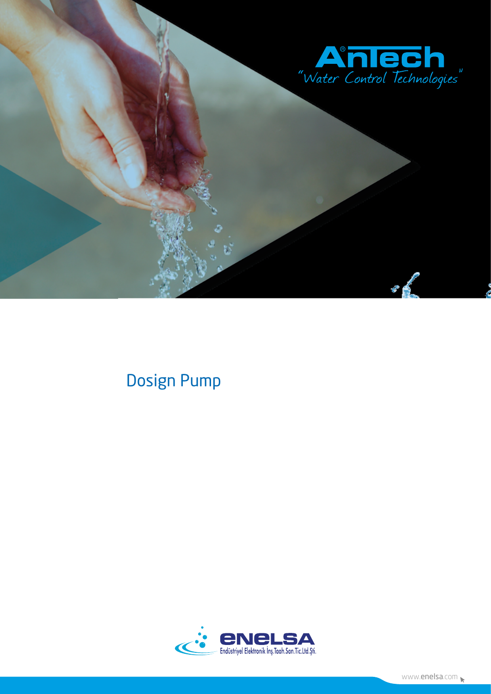

# **Dosign Pump**

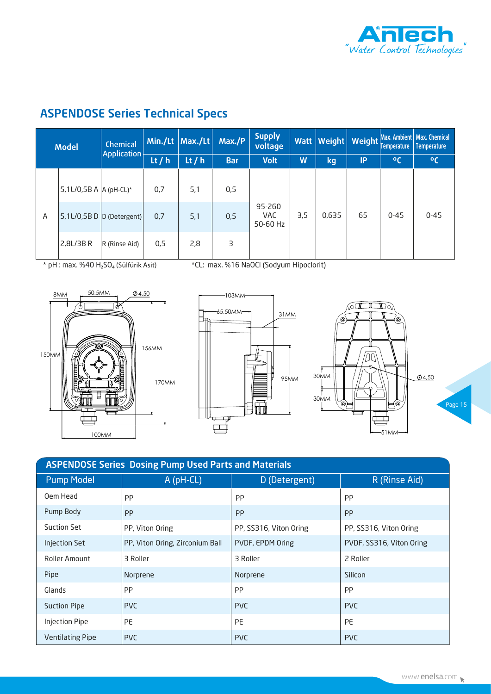

# ASPENDOSE Series Technical Specs

| <b>Model</b> |                            | Chemical<br>Application       |          | Min./Lt Max./Lt | Max./P     | <b>Supply</b><br>voltage         |   | Watt Weight | Weight    | Temperature | Max. Ambient   Max. Chemical<br><b>Temperature</b> |          |          |
|--------------|----------------------------|-------------------------------|----------|-----------------|------------|----------------------------------|---|-------------|-----------|-------------|----------------------------------------------------|----------|----------|
|              |                            |                               | Lt $/ h$ | Lt $/ h$        | <b>Bar</b> | <b>Volt</b>                      | W | kg,         | <b>IP</b> | $\rm ^oC$   | $^{\circ}$ C                                       |          |          |
|              | $5,1$ L/0,5B A  A (pH-CL)* |                               | 0,7      | 5,1             | 0,5        | 95-260<br><b>VAC</b><br>50-60 Hz |   |             |           |             |                                                    |          |          |
| $\mathsf{A}$ |                            | $ 5,1$ L/0,5B D D (Detergent) | 0,7      | 5,1             | 0,5        |                                  |   |             | 3,5       | 0,635       | 65                                                 | $0 - 45$ | $0 - 45$ |
|              | 2,8L/3B R                  | R (Rinse Aid)                 | 0,5      | 2,8             | 3          |                                  |   |             |           |             |                                                    |          |          |

\* pH : max. %40 H2SO4 (Sülfürik Asit) \*CL: max. %16 NaOCl (Sodyum Hipoclorit)







| <b>ASPENDOSE Series Dosing Pump Used Parts and Materials</b> |                                 |                        |                          |  |  |  |  |  |  |
|--------------------------------------------------------------|---------------------------------|------------------------|--------------------------|--|--|--|--|--|--|
| <b>Pump Model</b>                                            | A (pH-CL)                       | D (Detergent)          | R (Rinse Aid)            |  |  |  |  |  |  |
| Oem Head                                                     | <b>PP</b>                       | <b>PP</b>              | <b>PP</b>                |  |  |  |  |  |  |
| Pump Body                                                    | PP                              | <b>PP</b>              | <b>PP</b>                |  |  |  |  |  |  |
| Suction Set                                                  | PP, Viton Oring                 | PP, SS316, Viton Oring | PP, SS316, Viton Oring   |  |  |  |  |  |  |
| <b>Injection Set</b>                                         | PP, Viton Oring, Zirconium Ball | PVDF, EPDM Oring       | PVDF, SS316, Viton Oring |  |  |  |  |  |  |
| Roller Amount                                                | 3 Roller                        | 3 Roller               | 2 Roller                 |  |  |  |  |  |  |
| Pipe                                                         | Norprene                        | Norprene               | Silicon                  |  |  |  |  |  |  |
| Glands                                                       | <b>PP</b>                       | <b>PP</b>              | PP                       |  |  |  |  |  |  |
| <b>Suction Pipe</b>                                          | <b>PVC</b>                      | <b>PVC</b>             | <b>PVC</b>               |  |  |  |  |  |  |
| <b>Injection Pipe</b>                                        | <b>PE</b>                       | <b>PE</b>              | <b>PE</b>                |  |  |  |  |  |  |
| <b>Ventilating Pipe</b>                                      | <b>PVC</b>                      | <b>PVC</b>             | <b>PVC</b>               |  |  |  |  |  |  |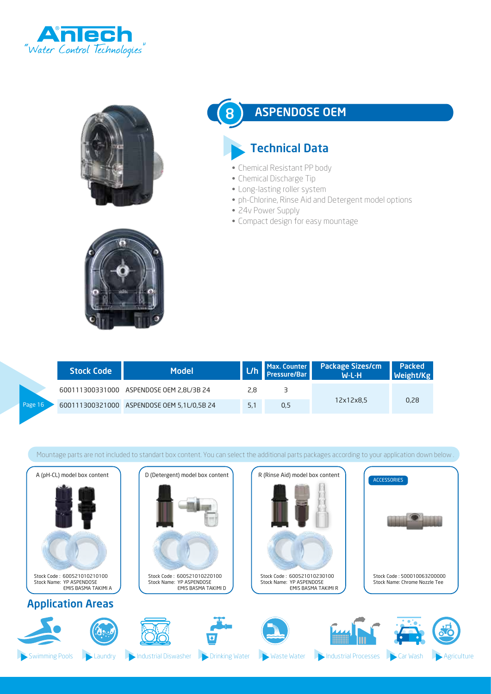





### ASPENDOSE OEM

# Technical Data

- Chemical Resistant PP body
- Chemical Discharge Tip
- Long-lasting roller system
- ph-Chlorine, Rinse Aid and Detergent model options
- 24v Power Supply

8

• Compact design for easy mountage

|         | <b>Stock Code</b> | <b>Model</b>                               |     | Pressure/Bar | L/h Max. Counter Package Sizes/cm<br>W-L-H | <b>Packed</b><br><b>Weight/Kg</b> |
|---------|-------------------|--------------------------------------------|-----|--------------|--------------------------------------------|-----------------------------------|
|         |                   | 600111300331000 ASPENDOSE OEM 2.8L/3B 24   | 2.8 |              |                                            |                                   |
| Page 16 |                   | 600111300321000 ASPENDOSE OEM 5,1L/0,5B 24 | 5.1 | 0.5          | 12x12x8.5                                  | 0.28                              |

Mountage parts are not included to standart box content. You can select the additional parts packages according to your application down below .